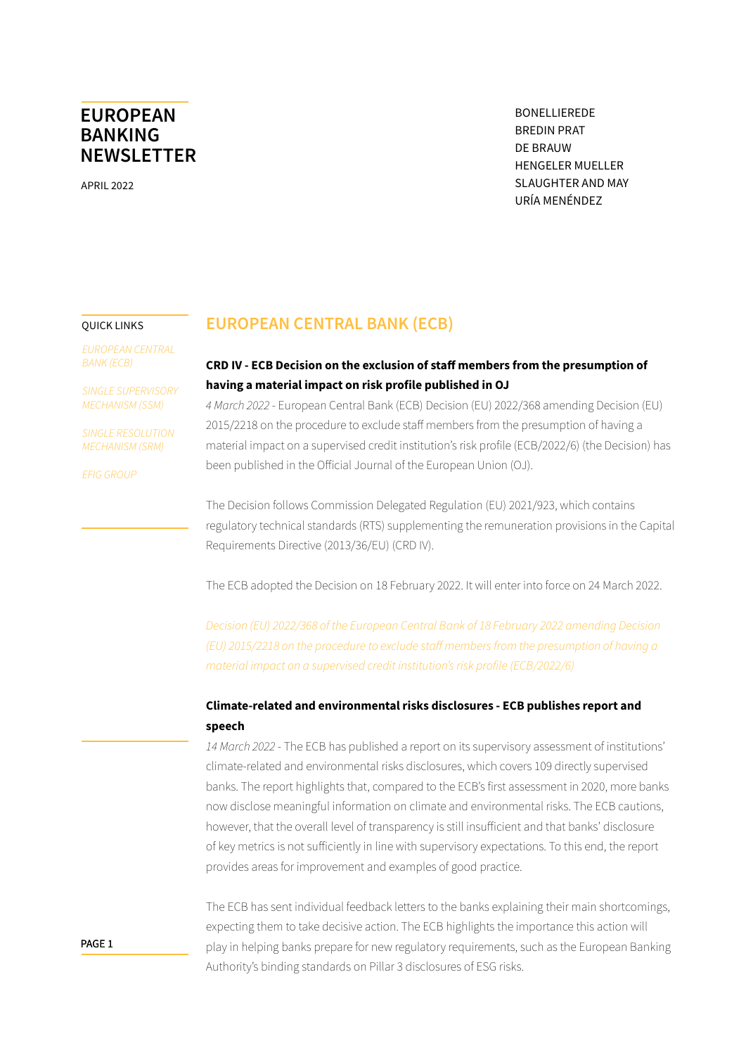<span id="page-0-0"></span>APRIL 2022

BONELLIEREDE BREDIN PRAT DE BRAUW HENGELER MUELLER SLAUGHTER AND MAY URÍA MENÉNDEZ

#### QUICK LINKS

*EUROPEAN CENTRAL BANK (ECB)*

*[SINGLE SUPERVISORY](#page-9-0)  [MECHANISM \(SSM\)](#page-9-0)*

*[SINGLE RESOLUTION](#page-10-0)  [MECHANISM \(SRM\)](#page-10-0)*

*[EFIG GROUP](#page-12-0)*

### **EUROPEAN CENTRAL BANK (ECB)**

### **CRD IV - ECB Decision on the exclusion of staff members from the presumption of having a material impact on risk profile published in OJ**

*4 March 2022* - European Central Bank (ECB) Decision (EU) 2022/368 amending Decision (EU) 2015/2218 on the procedure to exclude staff members from the presumption of having a material impact on a supervised credit institution's risk profile (ECB/2022/6) (the Decision) has been published in the Official Journal of the European Union (OJ).

The Decision follows Commission Delegated Regulation (EU) 2021/923, which contains regulatory technical standards (RTS) supplementing the remuneration provisions in the Capital Requirements Directive (2013/36/EU) (CRD IV).

The ECB adopted the Decision on 18 February 2022. It will enter into force on 24 March 2022.

*[Decision \(EU\) 2022/368 of the European Central Bank of 18 February 2022 amending Decision](https://eur-lex.europa.eu/legal-content/EN/TXT/PDF/?uri=CELEX:32022D0368&from=EN)  [\(EU\) 2015/2218 on the procedure to exclude staff members from the presumption of having a](https://eur-lex.europa.eu/legal-content/EN/TXT/PDF/?uri=CELEX:32022D0368&from=EN)  [material impact on a supervised credit institution's risk profile \(ECB/2022/6\)](https://eur-lex.europa.eu/legal-content/EN/TXT/PDF/?uri=CELEX:32022D0368&from=EN)*

### **Climate-related and environmental risks disclosures - ECB publishes report and speech**

*14 March 2022* - The ECB has published a report on its supervisory assessment of institutions' climate-related and environmental risks disclosures, which covers 109 directly supervised banks. The report highlights that, compared to the ECB's first assessment in 2020, more banks now disclose meaningful information on climate and environmental risks. The ECB cautions, however, that the overall level of transparency is still insufficient and that banks' disclosure of key metrics is not sufficiently in line with supervisory expectations. To this end, the report provides areas for improvement and examples of good practice.

The ECB has sent individual feedback letters to the banks explaining their main shortcomings, expecting them to take decisive action. The ECB highlights the importance this action will play in helping banks prepare for new regulatory requirements, such as the European Banking Authority's binding standards on Pillar 3 disclosures of ESG risks.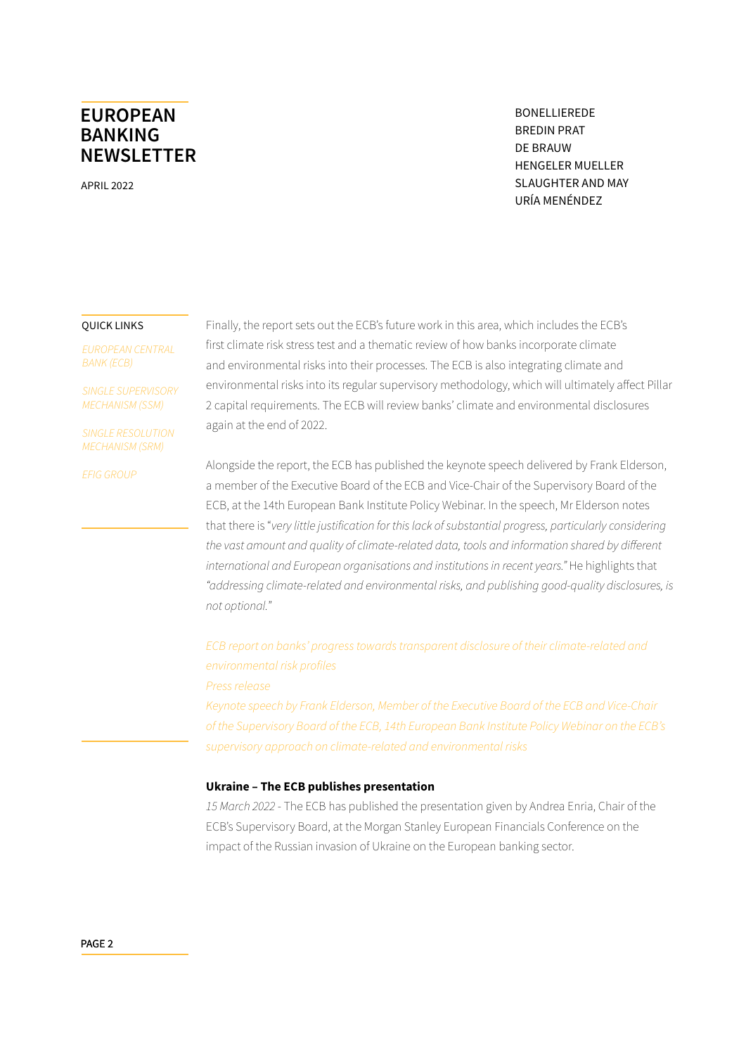APRIL 2022

BONELLIEREDE BREDIN PRAT DE BRAUW HENGELER MUELLER SLAUGHTER AND MAY URÍA MENÉNDEZ

#### QUICK LINKS

*[EUROPEAN CENTRAL](#page-0-0)  [BANK \(ECB\)](#page-0-0)*

*[SINGLE SUPERVISORY](#page-9-0)  [MECHANISM \(SSM\)](#page-9-0)*

*[SINGLE RESOLUTION](#page-10-0)  [MECHANISM \(SRM\)](#page-10-0)*

*[EFIG GROUP](#page-12-0)*

Finally, the report sets out the ECB's future work in this area, which includes the ECB's first climate risk stress test and a thematic review of how banks incorporate climate and environmental risks into their processes. The ECB is also integrating climate and environmental risks into its regular supervisory methodology, which will ultimately affect Pillar 2 capital requirements. The ECB will review banks' climate and environmental disclosures again at the end of 2022.

Alongside the report, the ECB has published the keynote speech delivered by Frank Elderson, a member of the Executive Board of the ECB and Vice-Chair of the Supervisory Board of the ECB, at the 14th European Bank Institute Policy Webinar. In the speech, Mr Elderson notes that there is "*very little justification for this lack of substantial progress, particularly considering the vast amount and quality of climate-related data, tools and information shared by different international and European organisations and institutions in recent years."* He highlights that *"addressing climate-related and environmental risks, and publishing good-quality disclosures, is not optional.*"

*[ECB report on banks' progress towards transparent disclosure of their climate-related and](https://www.bankingsupervision.europa.eu/ecb/pub/pdf/ssm.ECB_Report_on_climate_and_environmental_disclosures_202203~4ae33f2a70.en.pdf)  [environmental risk profiles](https://www.bankingsupervision.europa.eu/ecb/pub/pdf/ssm.ECB_Report_on_climate_and_environmental_disclosures_202203~4ae33f2a70.en.pdf)*

*[Press release](https://www.bankingsupervision.europa.eu/press/pr/date/2022/html/ssm.pr220314~37303fd463.en.html)*

*[Keynote speech by Frank Elderson, Member of the Executive Board of the ECB and Vice-Chair](https://www.bankingsupervision.europa.eu/press/speeches/date/2022/html/ssm.sp220314~0422f4b854.en.html)  [of the Supervisory Board of the ECB, 14th European Bank Institute Policy Webinar on the ECB's](https://www.bankingsupervision.europa.eu/press/speeches/date/2022/html/ssm.sp220314~0422f4b854.en.html)  [supervisory approach on climate-related and environmental risks](https://www.bankingsupervision.europa.eu/press/speeches/date/2022/html/ssm.sp220314~0422f4b854.en.html)*

#### **Ukraine – The ECB publishes presentation**

*15 March 2022* - The ECB has published the presentation given by Andrea Enria, Chair of the ECB's Supervisory Board, at the Morgan Stanley European Financials Conference on the impact of the Russian invasion of Ukraine on the European banking sector.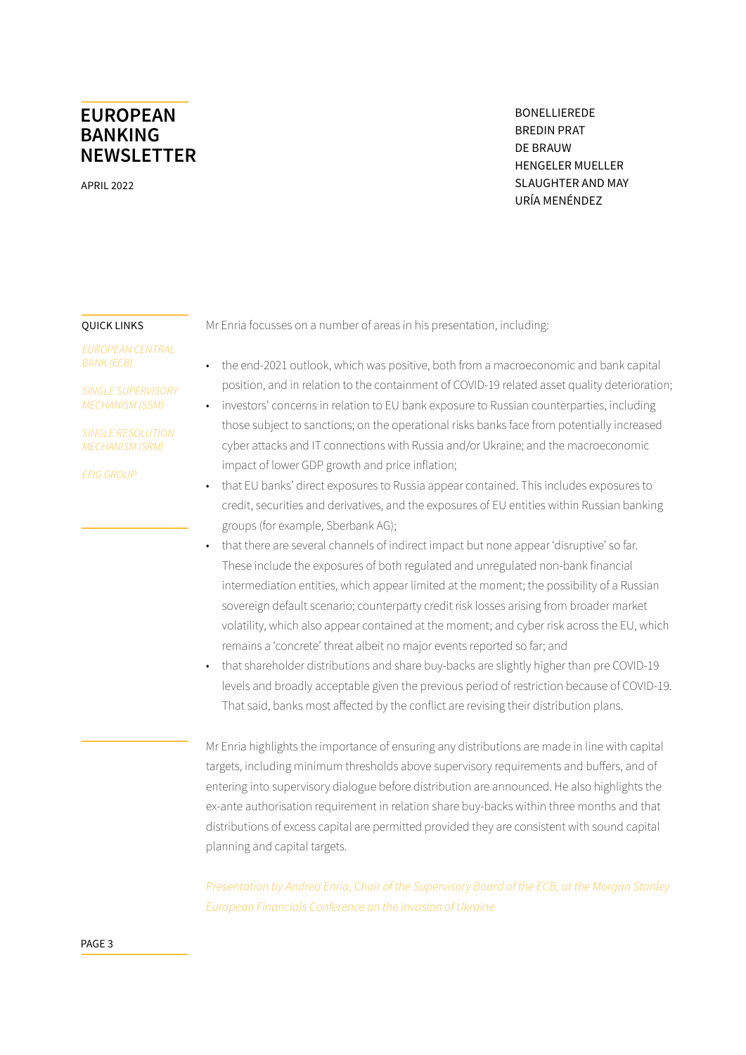APRIL 2022

BONELLIEREDE BREDIN PRAT DE BRAUW HENGELER MUELLER SLAUGHTER AND MAY URÍA MENÉNDEZ

#### QUICK LINKS

*[EUROPEAN CENTRAL](#page-0-0)  [BANK \(ECB\)](#page-0-0)*

*[SINGLE SUPERVISORY](#page-9-0)  [MECHANISM \(SSM\)](#page-9-0)*

*[SINGLE RESOLUTION](#page-10-0)  [MECHANISM \(SRM\)](#page-10-0)*

*[EFIG GROUP](#page-12-0)*

Mr Enria focusses on a number of areas in his presentation, including:

- the end-2021 outlook, which was positive, both from a macroeconomic and bank capital position, and in relation to the containment of COVID-19 related asset quality deterioration;
- investors' concerns in relation to EU bank exposure to Russian counterparties, including those subject to sanctions; on the operational risks banks face from potentially increased cyber attacks and IT connections with Russia and/or Ukraine; and the macroeconomic impact of lower GDP growth and price inflation;
- that EU banks' direct exposures to Russia appear contained. This includes exposures to credit, securities and derivatives, and the exposures of EU entities within Russian banking groups (for example, Sberbank AG);
- that there are several channels of indirect impact but none appear 'disruptive' so far. These include the exposures of both regulated and unregulated non-bank financial intermediation entities, which appear limited at the moment; the possibility of a Russian sovereign default scenario; counterparty credit risk losses arising from broader market volatility, which also appear contained at the moment; and cyber risk across the EU, which remains a 'concrete' threat albeit no major events reported so far; and
- that shareholder distributions and share buy-backs are slightly higher than pre COVID-19 levels and broadly acceptable given the previous period of restriction because of COVID-19. That said, banks most affected by the conflict are revising their distribution plans.

Mr Enria highlights the importance of ensuring any distributions are made in line with capital targets, including minimum thresholds above supervisory requirements and buffers, and of entering into supervisory dialogue before distribution are announced. He also highlights the ex-ante authorisation requirement in relation share buy-backs within three months and that distributions of excess capital are permitted provided they are consistent with sound capital planning and capital targets.

*[Presentation by Andrea Enria, Chair of the Supervisory Board of the ECB, at the Morgan Stanley](https://www.bankingsupervision.europa.eu/press/speeches/date/2022/html/ssm.sp220315~e641a6f3e4.en.pdf?05b8603c93489a8c81ddb5f5af604208)  [European Financials Conference on the invasion of Ukraine](https://www.bankingsupervision.europa.eu/press/speeches/date/2022/html/ssm.sp220315~e641a6f3e4.en.pdf?05b8603c93489a8c81ddb5f5af604208)*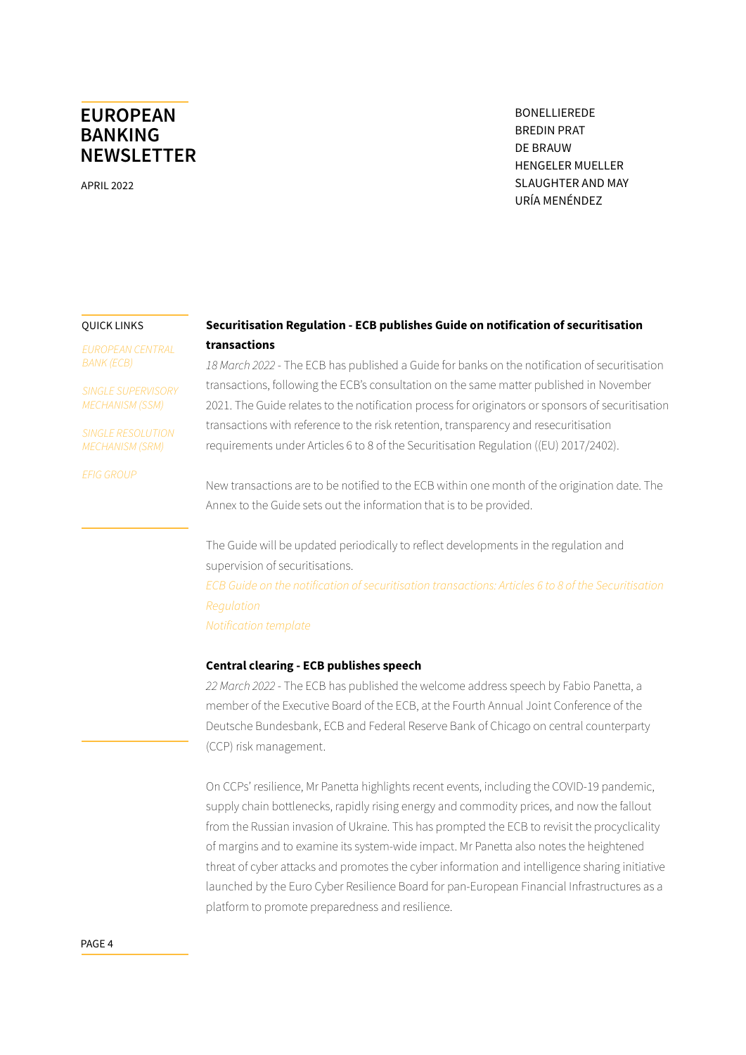APRIL 2022

BONELLIEREDE BREDIN PRAT DE BRAUW HENGELER MUELLER SLAUGHTER AND MAY URÍA MENÉNDEZ

#### QUICK LINKS

*[EUROPEAN CENTRAL](#page-0-0)  [BANK \(ECB\)](#page-0-0)*

*[SINGLE SUPERVISORY](#page-9-0)  [MECHANISM \(SSM\)](#page-9-0)*

*[SINGLE RESOLUTION](#page-10-0)  [MECHANISM \(SRM\)](#page-10-0)*

*[EFIG GROUP](#page-12-0)*

### **Securitisation Regulation - ECB publishes Guide on notification of securitisation transactions**

*18 March 2022* - The ECB has published a Guide for banks on the notification of securitisation transactions, following the ECB's consultation on the same matter published in November 2021. The Guide relates to the notification process for originators or sponsors of securitisation transactions with reference to the risk retention, transparency and resecuritisation requirements under Articles 6 to 8 of the Securitisation Regulation ((EU) 2017/2402).

New transactions are to be notified to the ECB within one month of the origination date. The Annex to the Guide sets out the information that is to be provided.

The Guide will be updated periodically to reflect developments in the regulation and supervision of securitisations. *[ECB Guide on the notification of securitisation transactions: Articles 6 to 8 of the Securitisation](https://www.bankingsupervision.europa.eu/ecb/pub/pdf/ssm.Guide_on_the_notification_of_securitisation_transactions~af41af5e72.en.pdf)  [Regulation](https://www.bankingsupervision.europa.eu/ecb/pub/pdf/ssm.Guide_on_the_notification_of_securitisation_transactions~af41af5e72.en.pdf) [Notification template](https://www.bankingsupervision.europa.eu/legalframework/publiccons/pdf/securitisation/ssm.notification_template.en.xlsx)*

### **Central clearing - ECB publishes speech**

*22 March 2022* - The ECB has published the welcome address speech by Fabio Panetta, a member of the Executive Board of the ECB, at the Fourth Annual Joint Conference of the Deutsche Bundesbank, ECB and Federal Reserve Bank of Chicago on central counterparty (CCP) risk management.

On CCPs' resilience, Mr Panetta highlights recent events, including the COVID-19 pandemic, supply chain bottlenecks, rapidly rising energy and commodity prices, and now the fallout from the Russian invasion of Ukraine. This has prompted the ECB to revisit the procyclicality of margins and to examine its system-wide impact. Mr Panetta also notes the heightened threat of cyber attacks and promotes the cyber information and intelligence sharing initiative launched by the Euro Cyber Resilience Board for pan-European Financial Infrastructures as a platform to promote preparedness and resilience.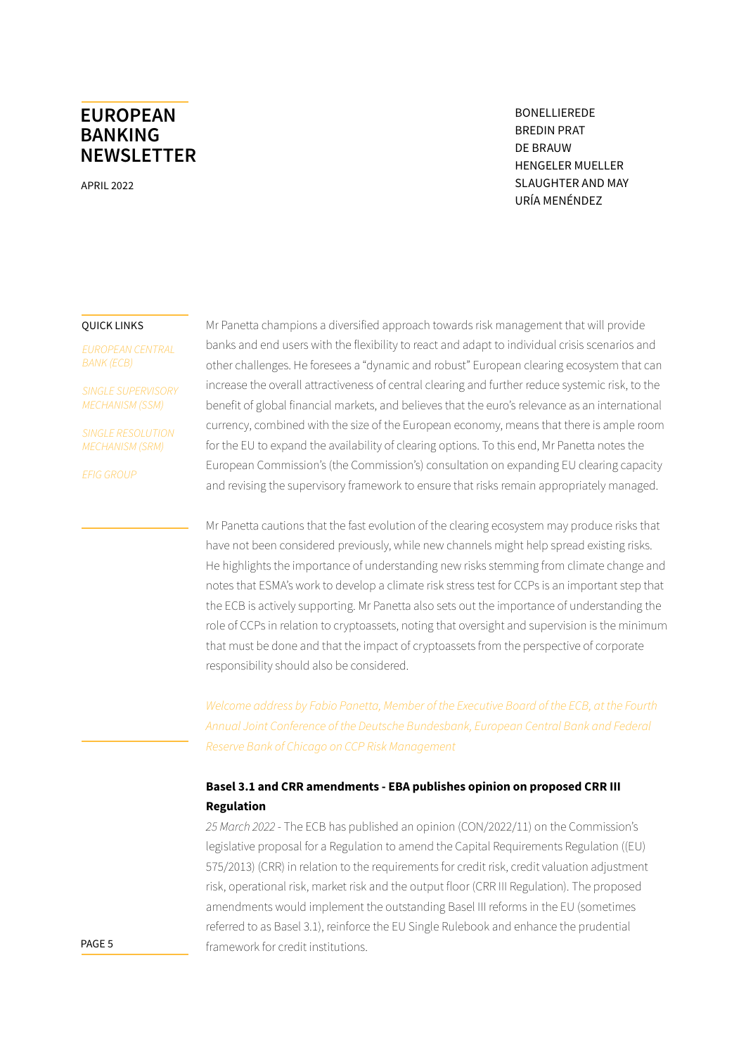APRIL 2022

BONELLIEREDE BREDIN PRAT DE BRAUW HENGELER MUELLER SLAUGHTER AND MAY URÍA MENÉNDEZ

#### QUICK LINKS

*[EUROPEAN CENTRAL](#page-0-0)  [BANK \(ECB\)](#page-0-0)*

*[SINGLE SUPERVISORY](#page-9-0)  [MECHANISM \(SSM\)](#page-9-0)*

*[SINGLE RESOLUTION](#page-10-0)  [MECHANISM \(SRM\)](#page-10-0)*

*[EFIG GROUP](#page-12-0)*

Mr Panetta champions a diversified approach towards risk management that will provide banks and end users with the flexibility to react and adapt to individual crisis scenarios and other challenges. He foresees a "dynamic and robust" European clearing ecosystem that can increase the overall attractiveness of central clearing and further reduce systemic risk, to the benefit of global financial markets, and believes that the euro's relevance as an international currency, combined with the size of the European economy, means that there is ample room for the EU to expand the availability of clearing options. To this end, Mr Panetta notes the European Commission's (the Commission's) consultation on expanding EU clearing capacity and revising the supervisory framework to ensure that risks remain appropriately managed.

Mr Panetta cautions that the fast evolution of the clearing ecosystem may produce risks that have not been considered previously, while new channels might help spread existing risks. He highlights the importance of understanding new risks stemming from climate change and notes that ESMA's work to develop a climate risk stress test for CCPs is an important step that the ECB is actively supporting. Mr Panetta also sets out the importance of understanding the role of CCPs in relation to cryptoassets, noting that oversight and supervision is the minimum that must be done and that the impact of cryptoassets from the perspective of corporate responsibility should also be considered.

*[Welcome address by Fabio Panetta, Member of the Executive Board of the ECB, at the Fourth](https://www.ecb.europa.eu/press/key/date/2022/html/ecb.sp220322~fb2f159779.en.html)  [Annual Joint Conference of the Deutsche Bundesbank, European Central Bank and Federal](https://www.ecb.europa.eu/press/key/date/2022/html/ecb.sp220322~fb2f159779.en.html)  [Reserve Bank of Chicago on CCP Risk Management](https://www.ecb.europa.eu/press/key/date/2022/html/ecb.sp220322~fb2f159779.en.html)*

### **Basel 3.1 and CRR amendments - EBA publishes opinion on proposed CRR III Regulation**

*25 March 2022* - The ECB has published an opinion (CON/2022/11) on the Commission's legislative proposal for a Regulation to amend the Capital Requirements Regulation ((EU) 575/2013) (CRR) in relation to the requirements for credit risk, credit valuation adjustment risk, operational risk, market risk and the output floor (CRR III Regulation). The proposed amendments would implement the outstanding Basel III reforms in the EU (sometimes referred to as Basel 3.1), reinforce the EU Single Rulebook and enhance the prudential framework for credit institutions.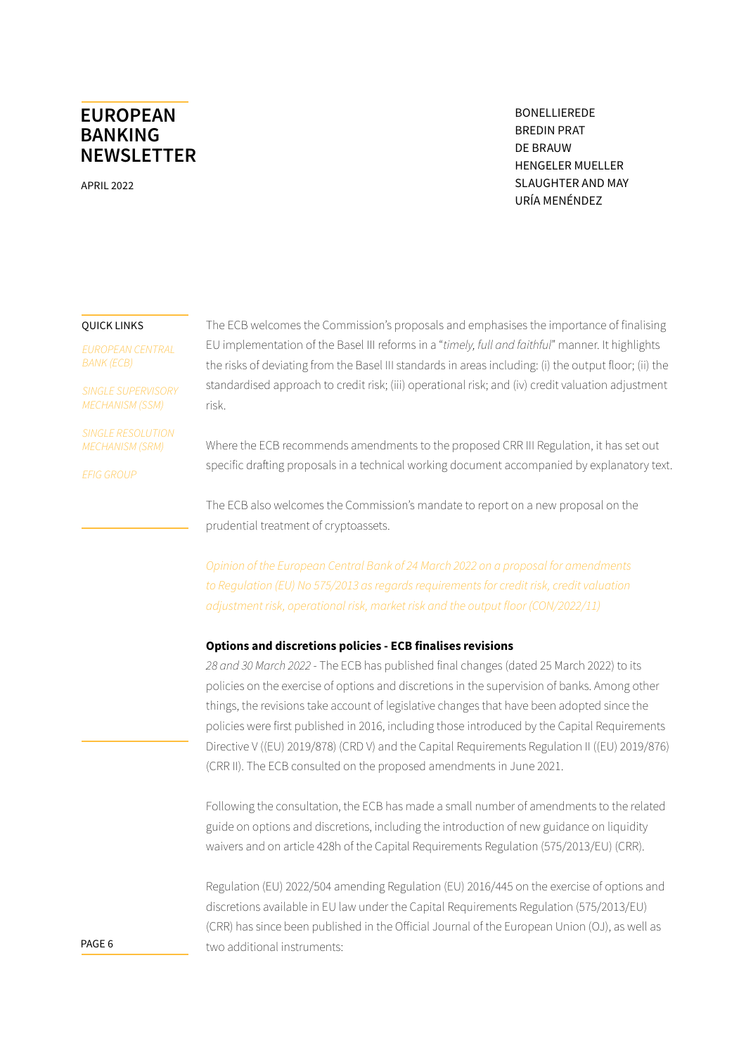APRIL 2022

BONELLIEREDE BREDIN PRAT DE BRAUW HENGELER MUELLER SLAUGHTER AND MAY URÍA MENÉNDEZ

#### QUICK LINKS

*[EUROPEAN CENTRAL](#page-0-0)  [BANK \(ECB\)](#page-0-0)*

*[SINGLE SUPERVISORY](#page-9-0)  [MECHANISM \(SSM\)](#page-9-0)*

*[SINGLE RESOLUTION](#page-10-0)  [MECHANISM \(SRM\)](#page-10-0)*

*[EFIG GROUP](#page-12-0)*

The ECB welcomes the Commission's proposals and emphasises the importance of finalising EU implementation of the Basel III reforms in a "*timely, full and faithful*" manner. It highlights the risks of deviating from the Basel III standards in areas including: (i) the output floor; (ii) the standardised approach to credit risk; (iii) operational risk; and (iv) credit valuation adjustment risk.

Where the ECB recommends amendments to the proposed CRR III Regulation, it has set out specific drafting proposals in a technical working document accompanied by explanatory text.

The ECB also welcomes the Commission's mandate to report on a new proposal on the prudential treatment of cryptoassets.

*[Opinion of the European Central Bank of 24 March 2022 on a proposal for amendments](https://www.ecb.europa.eu/pub/pdf/other/en_con_2022_11_f_sign~c61d08274d.en.pdf)  [to Regulation \(EU\) No 575/2013 as regards requirements for credit risk, credit valuation](https://www.ecb.europa.eu/pub/pdf/other/en_con_2022_11_f_sign~c61d08274d.en.pdf)  [adjustment risk, operational risk, market risk and the output floor \(CON/2022/11\)](https://www.ecb.europa.eu/pub/pdf/other/en_con_2022_11_f_sign~c61d08274d.en.pdf)*

### **Options and discretions policies - ECB finalises revisions**

*28 and 30 March 2022* - The ECB has published final changes (dated 25 March 2022) to its policies on the exercise of options and discretions in the supervision of banks. Among other things, the revisions take account of legislative changes that have been adopted since the policies were first published in 2016, including those introduced by the Capital Requirements Directive V ((EU) 2019/878) (CRD V) and the Capital Requirements Regulation II ((EU) 2019/876) (CRR II). The ECB consulted on the proposed amendments in June 2021.

Following the consultation, the ECB has made a small number of amendments to the related guide on options and discretions, including the introduction of new guidance on liquidity waivers and on article 428h of the Capital Requirements Regulation (575/2013/EU) (CRR).

Regulation (EU) 2022/504 amending Regulation (EU) 2016/445 on the exercise of options and discretions available in EU law under the Capital Requirements Regulation (575/2013/EU) (CRR) has since been published in the Official Journal of the European Union (OJ), as well as two additional instruments: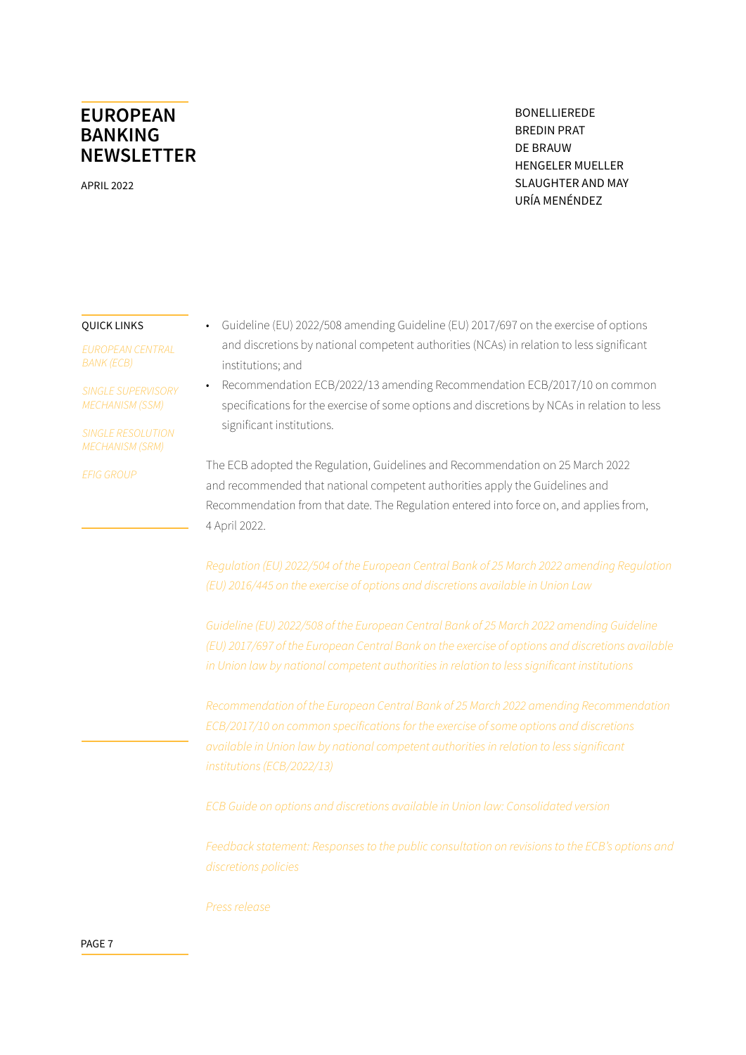APRIL 2022

BONELLIEREDE BREDIN PRAT DE BRAUW HENGELER MUELLER SLAUGHTER AND MAY URÍA MENÉNDEZ

#### QUICK LINKS

*[EUROPEAN CENTRAL](#page-0-0)  [BANK \(ECB\)](#page-0-0)*

*[SINGLE SUPERVISORY](#page-9-0)  [MECHANISM \(SSM\)](#page-9-0)*

*[SINGLE RESOLUTION](#page-10-0)  [MECHANISM \(SRM\)](#page-10-0)*

*[EFIG GROUP](#page-12-0)*

• Guideline (EU) 2022/508 amending Guideline (EU) 2017/697 on the exercise of options and discretions by national competent authorities (NCAs) in relation to less significant institutions; and

• Recommendation ECB/2022/13 amending Recommendation ECB/2017/10 on common specifications for the exercise of some options and discretions by NCAs in relation to less significant institutions.

The ECB adopted the Regulation, Guidelines and Recommendation on 25 March 2022 and recommended that national competent authorities apply the Guidelines and Recommendation from that date. The Regulation entered into force on, and applies from, 4 April 2022.

*[Regulation \(EU\) 2022/504 of the European Central Bank of 25 March 2022 amending Regulation](https://eur-lex.europa.eu/legal-content/EN/TXT/PDF/?uri=CELEX:32022R0504&from=EN)  [\(EU\) 2016/445 on the exercise of options and discretions available in Union Law](https://eur-lex.europa.eu/legal-content/EN/TXT/PDF/?uri=CELEX:32022R0504&from=EN)*

*[Guideline \(EU\) 2022/508 of the European Central Bank of 25 March 2022 amending Guideline](https://eur-lex.europa.eu/legal-content/EN/TXT/PDF/?uri=CELEX:32022O0508&from=EN)  [\(EU\) 2017/697 of the European Central Bank on the exercise of options and discretions available](https://eur-lex.europa.eu/legal-content/EN/TXT/PDF/?uri=CELEX:32022O0508&from=EN)  [in Union law by national competent authorities in relation to less significant institutions](https://eur-lex.europa.eu/legal-content/EN/TXT/PDF/?uri=CELEX:32022O0508&from=EN)*

*[Recommendation of the European Central Bank of 25 March 2022 amending Recommendation](https://eur-lex.europa.eu/legal-content/EN/TXT/PDF/?uri=CELEX:52022HB0013&from=EN)  [ECB/2017/10 on common specifications for the exercise of some options and discretions](https://eur-lex.europa.eu/legal-content/EN/TXT/PDF/?uri=CELEX:52022HB0013&from=EN)  [available in Union law by national competent authorities in relation to less significant](https://eur-lex.europa.eu/legal-content/EN/TXT/PDF/?uri=CELEX:52022HB0013&from=EN)  [institutions \(ECB/2022/13\)](https://eur-lex.europa.eu/legal-content/EN/TXT/PDF/?uri=CELEX:52022HB0013&from=EN)*

*[ECB Guide on options and discretions available in Union law: Consolidated version](https://www.bankingsupervision.europa.eu/ecb/pub/pdf/ssm.supervisory_guides2022_ond.en.pdf)*

*[Feedback statement: Responses to the public consultation on revisions to the ECB's options and](https://www.bankingsupervision.europa.eu/legalframework/publiccons/pdf/ond/ssm.ond_feedbackstatement.en.pdf)  [discretions policies](https://www.bankingsupervision.europa.eu/legalframework/publiccons/pdf/ond/ssm.ond_feedbackstatement.en.pdf)*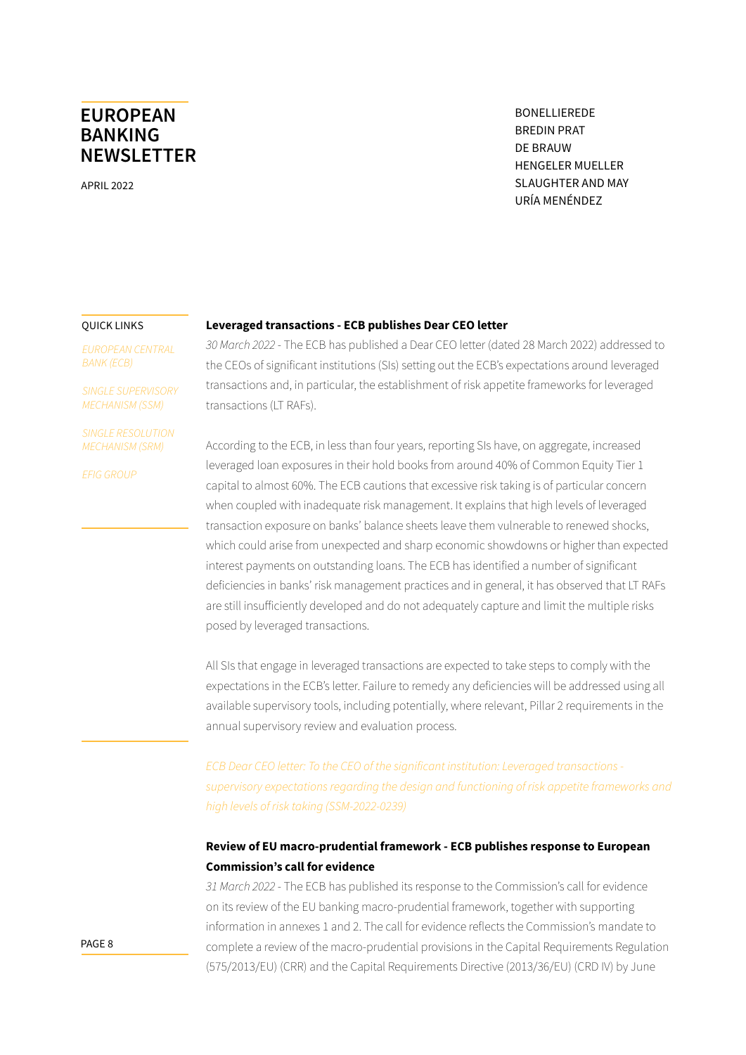APRIL 2022

BONELLIEREDE BREDIN PRAT DE BRAUW HENGELER MUELLER SLAUGHTER AND MAY URÍA MENÉNDEZ

#### QUICK LINKS

*[EUROPEAN CENTRAL](#page-0-0)  [BANK \(ECB\)](#page-0-0)*

*[SINGLE SUPERVISORY](#page-9-0)  [MECHANISM \(SSM\)](#page-9-0)*

*[SINGLE RESOLUTION](#page-10-0)  [MECHANISM \(SRM\)](#page-10-0)*

*[EFIG GROUP](#page-12-0)*

### **Leveraged transactions - ECB publishes Dear CEO letter**

*30 March 2022* - The ECB has published a Dear CEO letter (dated 28 March 2022) addressed to the CEOs of significant institutions (SIs) setting out the ECB's expectations around leveraged transactions and, in particular, the establishment of risk appetite frameworks for leveraged transactions (LT RAFs).

According to the ECB, in less than four years, reporting SIs have, on aggregate, increased leveraged loan exposures in their hold books from around 40% of Common Equity Tier 1 capital to almost 60%. The ECB cautions that excessive risk taking is of particular concern when coupled with inadequate risk management. It explains that high levels of leveraged transaction exposure on banks' balance sheets leave them vulnerable to renewed shocks, which could arise from unexpected and sharp economic showdowns or higher than expected interest payments on outstanding loans. The ECB has identified a number of significant deficiencies in banks' risk management practices and in general, it has observed that LT RAFs are still insufficiently developed and do not adequately capture and limit the multiple risks posed by leveraged transactions.

All SIs that engage in leveraged transactions are expected to take steps to comply with the expectations in the ECB's letter. Failure to remedy any deficiencies will be addressed using all available supervisory tools, including potentially, where relevant, Pillar 2 requirements in the annual supervisory review and evaluation process.

*[ECB Dear CEO letter: To the CEO of the significant institution: Leveraged transactions](https://www.bankingsupervision.europa.eu/press/letterstobanks/shared/pdf/2022/ssm.2022_letter_on_leveraged_transactions.en.pdf)  [supervisory expectations regarding the design and functioning of risk appetite frameworks and](https://www.bankingsupervision.europa.eu/press/letterstobanks/shared/pdf/2022/ssm.2022_letter_on_leveraged_transactions.en.pdf)  [high levels of risk taking \(SSM-2022-0239\)](https://www.bankingsupervision.europa.eu/press/letterstobanks/shared/pdf/2022/ssm.2022_letter_on_leveraged_transactions.en.pdf)*

### **Review of EU macro-prudential framework - ECB publishes response to European Commission's call for evidence**

*31 March 2022* - The ECB has published its response to the Commission's call for evidence on its review of the EU banking macro-prudential framework, together with supporting information in annexes 1 and 2. The call for evidence reflects the Commission's mandate to complete a review of the macro-prudential provisions in the Capital Requirements Regulation (575/2013/EU) (CRR) and the Capital Requirements Directive (2013/36/EU) (CRD IV) by June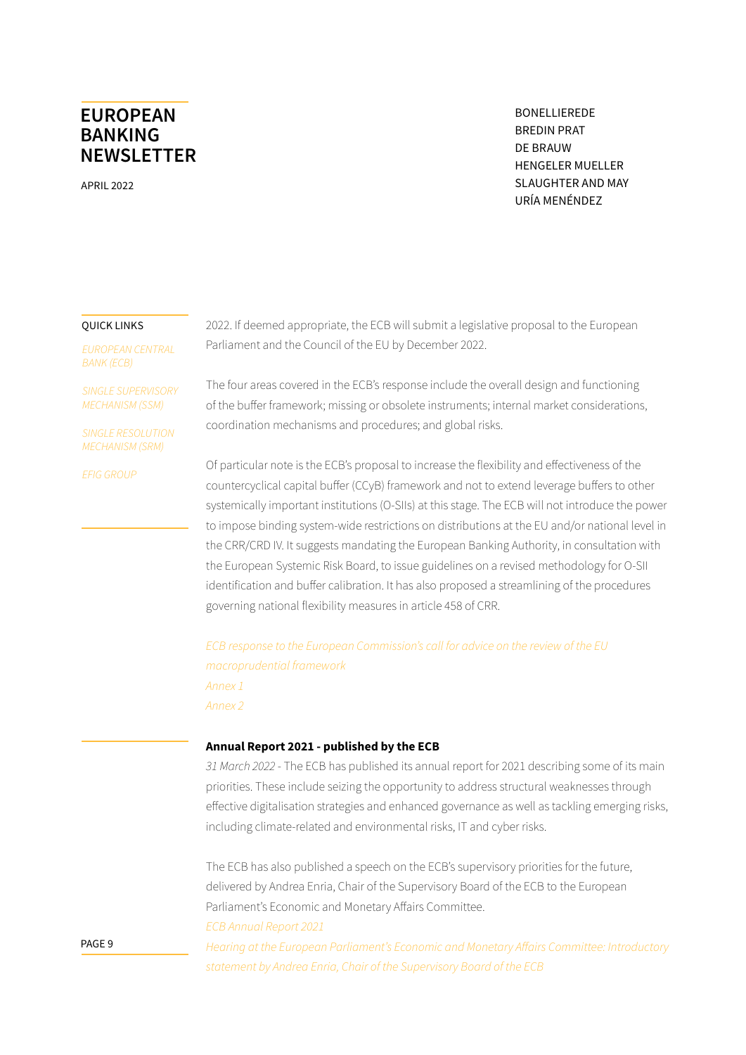APRIL 2022

BONELLIEREDE BREDIN PRAT DE BRAUW HENGELER MUELLER SLAUGHTER AND MAY URÍA MENÉNDEZ

#### QUICK LINKS

*[EUROPEAN CENTRAL](#page-0-0)  [BANK \(ECB\)](#page-0-0)*

*[SINGLE SUPERVISORY](#page-9-0)  [MECHANISM \(SSM\)](#page-9-0)*

*[SINGLE RESOLUTION](#page-10-0)  [MECHANISM \(SRM\)](#page-10-0)*

*[EFIG GROUP](#page-12-0)*

2022. If deemed appropriate, the ECB will submit a legislative proposal to the European Parliament and the Council of the EU by December 2022.

The four areas covered in the ECB's response include the overall design and functioning of the buffer framework; missing or obsolete instruments; internal market considerations, coordination mechanisms and procedures; and global risks.

Of particular note is the ECB's proposal to increase the flexibility and effectiveness of the countercyclical capital buffer (CCyB) framework and not to extend leverage buffers to other systemically important institutions (O-SIIs) at this stage. The ECB will not introduce the power to impose binding system-wide restrictions on distributions at the EU and/or national level in the CRR/CRD IV. It suggests mandating the European Banking Authority, in consultation with the European Systemic Risk Board, to issue guidelines on a revised methodology for O-SII identification and buffer calibration. It has also proposed a streamlining of the procedures governing national flexibility measures in article 458 of CRR.

*[ECB response to the European Commission's call for advice on the review of the EU](https://www.ecb.europa.eu/pub/pdf/other/ecb.responsetothecallforadvice~547f97d27c.en.pdf)  [macroprudential framework](https://www.ecb.europa.eu/pub/pdf/other/ecb.responsetothecallforadvice~547f97d27c.en.pdf) [Annex 1](https://www.ecb.europa.eu/pub/pdf/annex/ecb.annex_1_analyticalannex_ecbresponsetothecallforadvice.en.pdf) [Annex 2](https://www.ecb.europa.eu/pub/pdf/annex/ecb.annex_2_reportofdraftingteam_ecbresponsetothecallforadvice.en.pdf)*

### **Annual Report 2021 - published by the ECB**

*31 March 2022* - The ECB has published its annual report for 2021 describing some of its main priorities. These include seizing the opportunity to address structural weaknesses through effective digitalisation strategies and enhanced governance as well as tackling emerging risks, including climate-related and environmental risks, IT and cyber risks.

The ECB has also published a speech on the ECB's supervisory priorities for the future, delivered by Andrea Enria, Chair of the Supervisory Board of the ECB to the European Parliament's Economic and Monetary Affairs Committee. *[ECB Annual Report 2021](https://www.bankingsupervision.europa.eu/press/publications/annual-report/html/ssm.ar2021~52a7d32451.en.html)*

*[Hearing at the European Parliament's Economic and Monetary Affairs Committee: Introductory](https://www.bankingsupervision.europa.eu/press/speeches/date/2022/html/ssm.sp220331~1e7f3374f3.en.html)  [statement by Andrea Enria, Chair of the Supervisory Board of the ECB](https://www.bankingsupervision.europa.eu/press/speeches/date/2022/html/ssm.sp220331~1e7f3374f3.en.html)*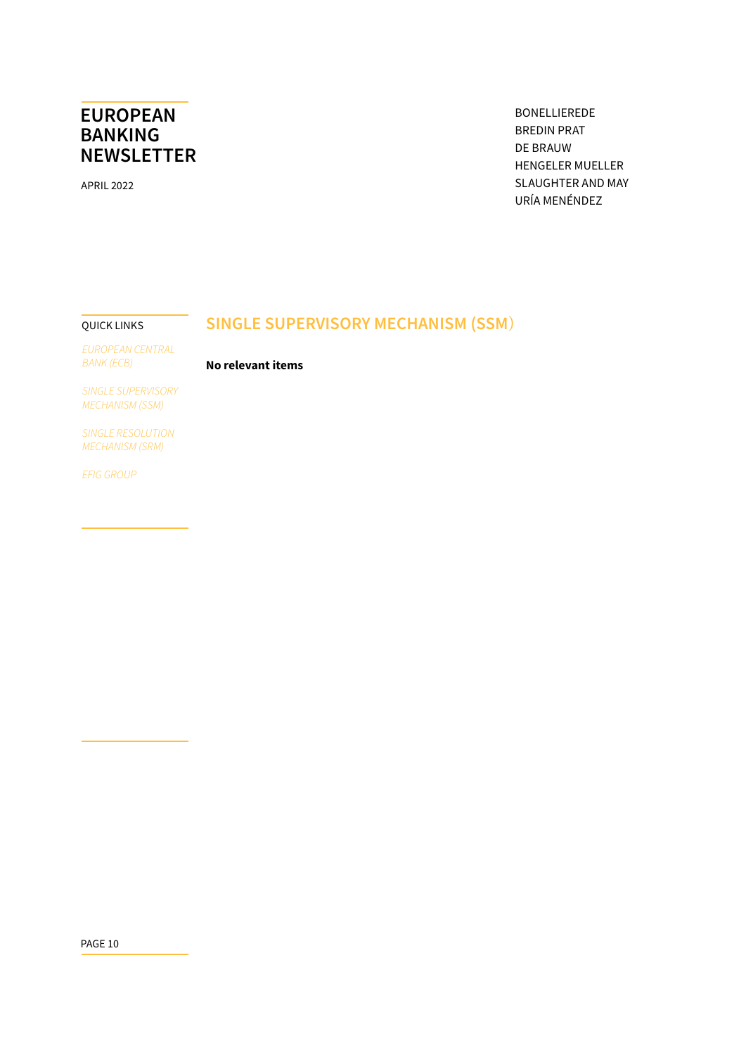<span id="page-9-0"></span>APRIL 2022

BONELLIEREDE BREDIN PRAT DE BRAUW HENGELER MUELLER SLAUGHTER AND MAY URÍA MENÉNDEZ

#### QUICK LINKS

## **SINGLE SUPERVISORY MECHANISM (SSM**)

**No relevant items**

*[EUROPEAN CENTRAL](#page-0-0)  [BANK \(ECB\)](#page-0-0)*

*SINGLE SUPERVISORY MECHANISM (SSM)*

*[SINGLE RESOLUTION](#page-10-0)  [MECHANISM \(SRM\)](#page-10-0)*

*[EFIG GROUP](#page-12-0)*

PAGE 10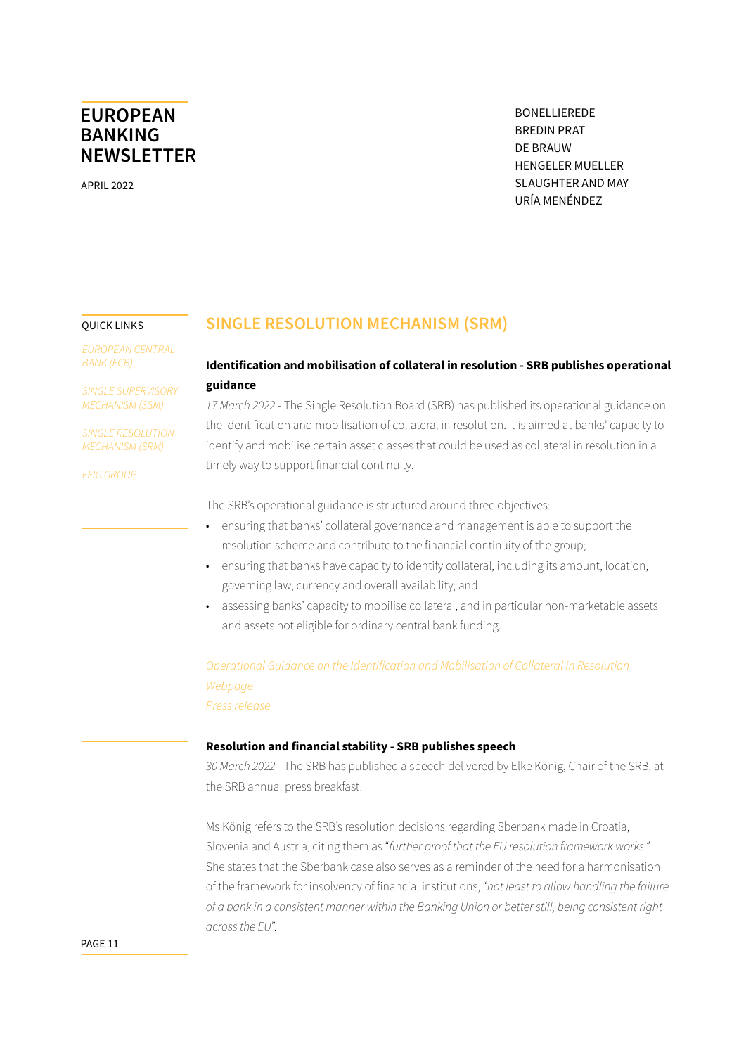<span id="page-10-0"></span>APRIL 2022

BONELLIEREDE BREDIN PRAT DE BRAUW HENGELER MUELLER SLAUGHTER AND MAY URÍA MENÉNDEZ

#### QUICK LINKS

*[EUROPEAN CENTRAL](#page-0-0)  [BANK \(ECB\)](#page-0-0)*

*[SINGLE SUPERVISORY](#page-9-0)  [MECHANISM \(SSM\)](#page-9-0)*

*SINGLE RESOLUTION MECHANISM (SRM)*

*[EFIG GROUP](#page-12-0)*

### **SINGLE RESOLUTION MECHANISM (SRM)**

### **Identification and mobilisation of collateral in resolution - SRB publishes operational guidance**

*17 March 2022* - The Single Resolution Board (SRB) has published its operational guidance on the identification and mobilisation of collateral in resolution. It is aimed at banks' capacity to identify and mobilise certain asset classes that could be used as collateral in resolution in a timely way to support financial continuity.

The SRB's operational guidance is structured around three objectives:

- ensuring that banks' collateral governance and management is able to support the resolution scheme and contribute to the financial continuity of the group;
- ensuring that banks have capacity to identify collateral, including its amount, location, governing law, currency and overall availability; and
- assessing banks' capacity to mobilise collateral, and in particular non-marketable assets and assets not eligible for ordinary central bank funding.

*[Operational Guidance on the Identification and Mobilisation of Collateral in Resolution](https://www.srb.europa.eu/system/files/media/document/2022-03-17_Operational-Guidance-on-the-Identification-and-Mobilisation-of-Collateral-in-Resolution.pdf) [Webpage](https://www.srb.europa.eu/en/content/operational-guidance-identification-and-mobilisation-collateral-resolution) [Press release](https://www.srb.europa.eu/en/content/srb-publishes-operational-guidance-identification-and-mobilisation-collateral-resolution)*

### **Resolution and financial stability - SRB publishes speech**

*30 March 2022* - The SRB has published a speech delivered by Elke König, Chair of the SRB, at the SRB annual press breakfast.

Ms König refers to the SRB's resolution decisions regarding Sberbank made in Croatia, Slovenia and Austria, citing them as "*further proof that the EU resolution framework works."* She states that the Sberbank case also serves as a reminder of the need for a harmonisation of the framework for insolvency of financial institutions, "*not least to allow handling the failure of a bank in a consistent manner within the Banking Union or better still, being consistent right across the EU*".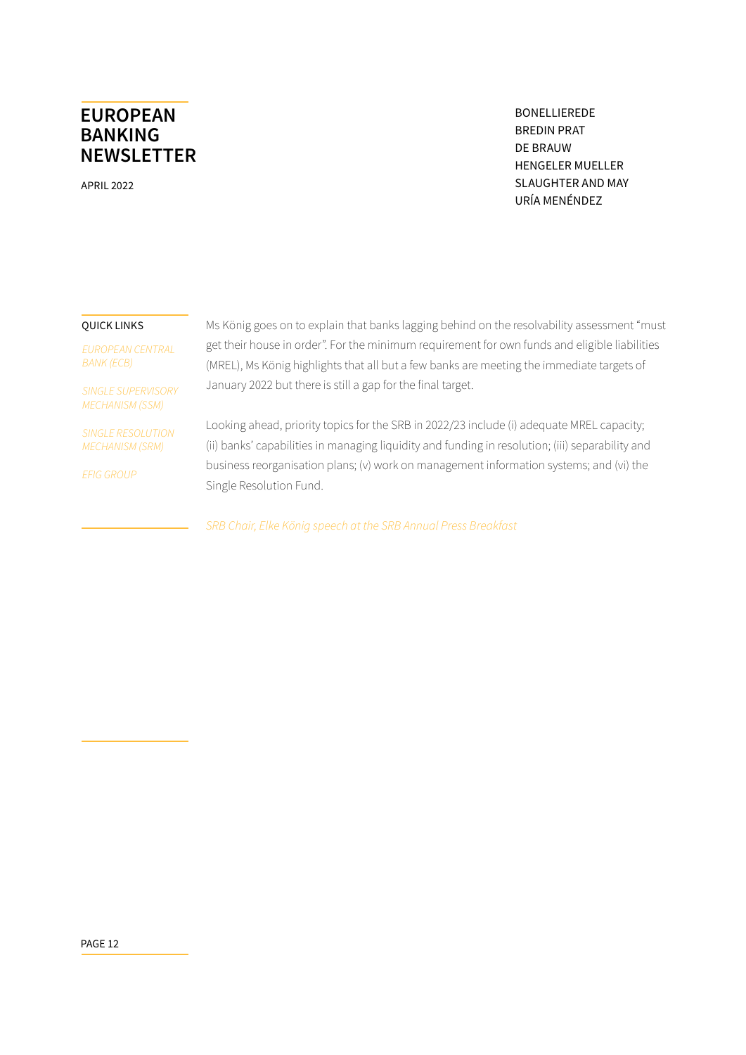APRIL 2022

BONELLIEREDE BREDIN PRAT DE BRAUW HENGELER MUELLER SLAUGHTER AND MAY URÍA MENÉNDEZ

#### QUICK LINKS

*[EUROPEAN CENTRAL](#page-0-0)  [BANK \(ECB\)](#page-0-0)*

*[SINGLE SUPERVISORY](#page-9-0)  [MECHANISM \(SSM\)](#page-9-0)*

*[SINGLE RESOLUTION](#page-10-0)  [MECHANISM \(SRM\)](#page-10-0)*

*[EFIG GROUP](#page-12-0)*

Ms König goes on to explain that banks lagging behind on the resolvability assessment "must get their house in order". For the minimum requirement for own funds and eligible liabilities (MREL), Ms König highlights that all but a few banks are meeting the immediate targets of January 2022 but there is still a gap for the final target.

Looking ahead, priority topics for the SRB in 2022/23 include (i) adequate MREL capacity; (ii) banks' capabilities in managing liquidity and funding in resolution; (iii) separability and business reorganisation plans; (v) work on management information systems; and (vi) the Single Resolution Fund.

*[SRB Chair, Elke König speech at the SRB Annual Press Breakfast](https://www.srb.europa.eu/en/content/srb-chair-elke-konig-speech-srb-annual-press-breakfast)*

PAGE 12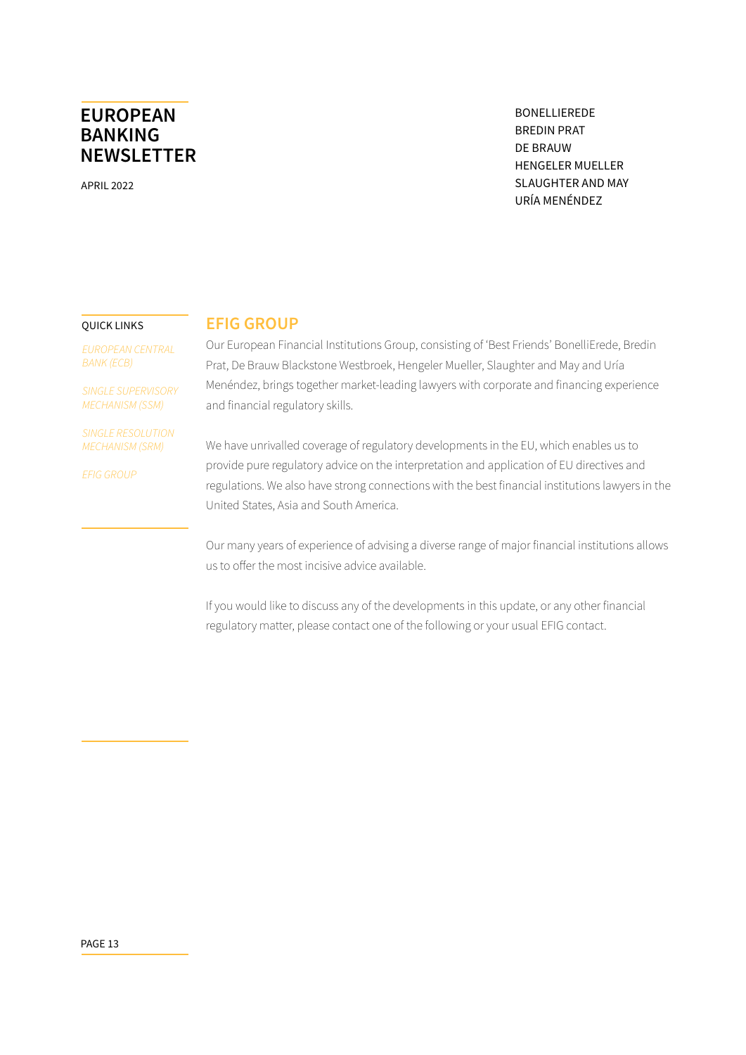<span id="page-12-0"></span>APRIL 2022

BONELLIEREDE BREDIN PRAT DE BRAUW HENGELER MUELLER SLAUGHTER AND MAY URÍA MENÉNDEZ

#### QUICK LINKS

*[EUROPEAN CENTRAL](#page-0-0)  [BANK \(ECB\)](#page-0-0)*

*[SINGLE SUPERVISORY](#page-9-0)  [MECHANISM \(SSM\)](#page-9-0)*

*[SINGLE RESOLUTION](#page-10-0)  [MECHANISM \(SRM\)](#page-10-0)*

*EFIG GROUP*

### **[EFIG GROUP](https://curia.europa.eu/juris/document/document.jsf;jsessionid=D953B193E5918047DD93A4F2BF8B3712?text=&docid=251506&pageIndex=0&doclang=EN&mode=req&dir=&occ=first&part=1&cid=549650)**

[Our European Financial Institutions Group, consisting of 'Best Friends' BonelliErede, Bredin](https://curia.europa.eu/juris/document/document.jsf;jsessionid=D953B193E5918047DD93A4F2BF8B3712?text=&docid=251506&pageIndex=0&doclang=EN&mode=req&dir=&occ=first&part=1&cid=549650)  [Prat, De Brauw Blackstone Westbroek, Hengeler Mueller, Slaughter and May and Uría](https://curia.europa.eu/juris/document/document.jsf;jsessionid=D953B193E5918047DD93A4F2BF8B3712?text=&docid=251506&pageIndex=0&doclang=EN&mode=req&dir=&occ=first&part=1&cid=549650)  [Menéndez, brings together market-leading lawyers with corporate and financing experience](https://curia.europa.eu/juris/document/document.jsf;jsessionid=D953B193E5918047DD93A4F2BF8B3712?text=&docid=251506&pageIndex=0&doclang=EN&mode=req&dir=&occ=first&part=1&cid=549650)  [and financial regulatory skills.](https://curia.europa.eu/juris/document/document.jsf;jsessionid=D953B193E5918047DD93A4F2BF8B3712?text=&docid=251506&pageIndex=0&doclang=EN&mode=req&dir=&occ=first&part=1&cid=549650)

[We have unrivalled coverage of regulatory developments in the EU, which enables us to](https://curia.europa.eu/juris/document/document.jsf;jsessionid=D953B193E5918047DD93A4F2BF8B3712?text=&docid=251506&pageIndex=0&doclang=EN&mode=req&dir=&occ=first&part=1&cid=549650)  [provide pure regulatory advice on the interpretation and application of EU directives and](https://curia.europa.eu/juris/document/document.jsf;jsessionid=D953B193E5918047DD93A4F2BF8B3712?text=&docid=251506&pageIndex=0&doclang=EN&mode=req&dir=&occ=first&part=1&cid=549650)  [regulations. We also have strong connections with the best financial institutions lawyers in the](https://curia.europa.eu/juris/document/document.jsf;jsessionid=D953B193E5918047DD93A4F2BF8B3712?text=&docid=251506&pageIndex=0&doclang=EN&mode=req&dir=&occ=first&part=1&cid=549650)  [United States, Asia and South America.](https://curia.europa.eu/juris/document/document.jsf;jsessionid=D953B193E5918047DD93A4F2BF8B3712?text=&docid=251506&pageIndex=0&doclang=EN&mode=req&dir=&occ=first&part=1&cid=549650)

[Our many years of experience of advising a diverse range of major financial institutions allows](https://curia.europa.eu/juris/document/document.jsf;jsessionid=D953B193E5918047DD93A4F2BF8B3712?text=&docid=251506&pageIndex=0&doclang=EN&mode=req&dir=&occ=first&part=1&cid=549650)  [us to offer the most incisive advice available.](https://curia.europa.eu/juris/document/document.jsf;jsessionid=D953B193E5918047DD93A4F2BF8B3712?text=&docid=251506&pageIndex=0&doclang=EN&mode=req&dir=&occ=first&part=1&cid=549650)

[If you would like to discuss any of the developments in this update, or any other financial](https://curia.europa.eu/juris/document/document.jsf;jsessionid=D953B193E5918047DD93A4F2BF8B3712?text=&docid=251506&pageIndex=0&doclang=EN&mode=req&dir=&occ=first&part=1&cid=549650)  [regulatory matter, please contact one of the following or your usual EFIG contact.](https://curia.europa.eu/juris/document/document.jsf;jsessionid=D953B193E5918047DD93A4F2BF8B3712?text=&docid=251506&pageIndex=0&doclang=EN&mode=req&dir=&occ=first&part=1&cid=549650)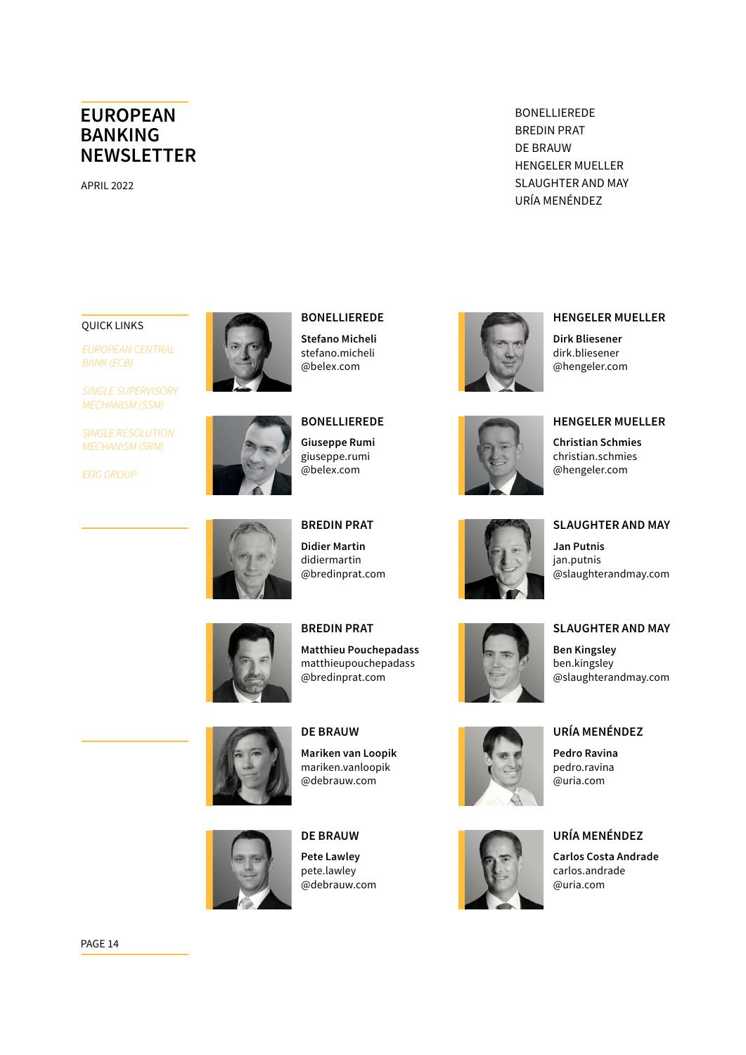APRIL 2022

BONELLIEREDE BREDIN PRAT DE BRAUW HENGELER MUELLER SLAUGHTER AND MAY URÍA MENÉNDEZ

#### QUICK LINKS

*[EUROPEAN CENTRAL](#page-0-0)  [BANK \(ECB\)](#page-0-0)*

*[SINGLE SUPERVISORY](#page-9-0)  [MECHANISM \(SSM\)](#page-9-0)*

*[SINGLE RESOLUTION](#page-10-0)  [MECHANISM \(SRM\)](#page-10-0)*

*[EFIG GROUP](#page-12-0)*



# **BONELLIEREDE**

**Stefano Micheli** [stefano.micheli](mailto:stefano.micheli%40belex.com?subject=) [@belex.com](mailto:stefano.micheli%40belex.com?subject=)



# **BONELLIEREDE Giuseppe Rumi**

[giuseppe.rumi](mailto:giuseppe.rumi%40belex.com?subject=) [@belex.com](mailto:giuseppe.rumi%40belex.com?subject=)



**BREDIN PRAT Didier Martin**  [didiermartin](mailto:didiermartin%40bredinprat.com?subject=) [@bredinprat.com](mailto:didiermartin%40bredinprat.com?subject=)



**BREDIN PRAT Matthieu Pouchepadass** [matthieupouchepadass](mailto:matthieupouchepadass%40bredinprat.com?subject=) [@bredinprat.com](mailto:matthieupouchepadass%40bredinprat.com?subject=)





[@debrauw.com](mailto:mariken.vanloopik%40debrauw.com?subject=)

**Mariken van Loopik** [mariken.vanloopik](mailto:mariken.vanloopik%40debrauw.com?subject=)

**DE BRAUW**

**Pete Lawley** pet[e.lawley](mailto:kees.groffen%40debrauw.com?subject=) [@debrauw.com](mailto:kees.groffen%40debrauw.com?subject=)

**DE BRAUW**



**HENGELER MUELLER** 

**HENGELER MUELLER**

**Dirk Bliesener** [dirk.bliesener](mailto:dirk.bliesener%40hengeler.com?subject=) [@hengeler.com](mailto:dirk.bliesener%40hengeler.com?subject=)



**Christian Schmies**  [christian.schmies](mailto:christian.schmies%40hengeler.com?subject=) [@hengeler.com](mailto:christian.schmies%40hengeler.com?subject=)



### **SLAUGHTER AND MAY Jan Putnis**

[jan.putnis](mailto:jan.putnis%40slaughterandmay.com?subject=) [@slaughterandmay.com](mailto:jan.putnis%40slaughterandmay.com?subject=)



### **SLAUGHTER AND MAY**

**Ben Kingsley** [ben.kingsley](mailto:ben.kingsley%40slaughterandmay.com?subject=) [@slaughterandmay.com](mailto:ben.kingsley%40slaughterandmay.com?subject=)





### **URÍA MENÉNDEZ**

**URÍA MENÉNDEZ Pedro Ravina** [pedro.ravina](mailto:pedro.ravina%40uria.com?subject=) [@uria.com](mailto:pedro.ravina%40uria.com?subject=)

**Carlos Costa Andrade** [carlos.andrade](mailto:carlos.andrade%40uria.com?subject=) [@uria.com](mailto:carlos.andrade%40uria.com?subject=)

PAGE 14